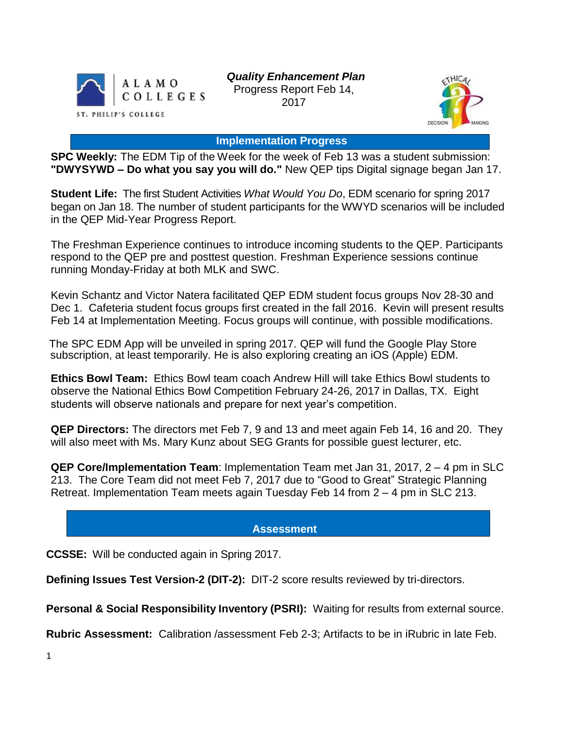

*Quality Enhancement Plan* Progress Report Feb 14, 2017



**Implementation Progress**

**SPC Weekly:** The EDM Tip of the Week for the week of Feb 13 was a student submission: **"DWYSYWD – Do what you say you will do."** New QEP tips Digital signage began Jan 17.

**Student Life:** The first Student Activities *What Would You Do*, EDM scenario for spring 2017 began on Jan 18. The number of student participants for the WWYD scenarios will be included in the QEP Mid-Year Progress Report.

The Freshman Experience continues to introduce incoming students to the QEP. Participants respond to the QEP pre and posttest question. Freshman Experience sessions continue running Monday-Friday at both MLK and SWC.

Kevin Schantz and Victor Natera facilitated QEP EDM student focus groups Nov 28-30 and Dec 1. Cafeteria student focus groups first created in the fall 2016. Kevin will present results Feb 14 at Implementation Meeting. Focus groups will continue, with possible modifications.

The SPC EDM App will be unveiled in spring 2017. QEP will fund the Google Play Store subscription, at least temporarily. He is also exploring creating an iOS (Apple) EDM.

**Ethics Bowl Team:** Ethics Bowl team coach Andrew Hill will take Ethics Bowl students to observe the National Ethics Bowl Competition February 24-26, 2017 in Dallas, TX. Eight students will observe nationals and prepare for next year's competition.

**QEP Directors:** The directors met Feb 7, 9 and 13 and meet again Feb 14, 16 and 20. They will also meet with Ms. Mary Kunz about SEG Grants for possible guest lecturer, etc.

**QEP Core/Implementation Team**: Implementation Team met Jan 31, 2017, 2 – 4 pm in SLC 213. The Core Team did not meet Feb 7, 2017 due to "Good to Great" Strategic Planning Retreat. Implementation Team meets again Tuesday Feb 14 from 2 – 4 pm in SLC 213.

## **Assessment**

**CCSSE:** Will be conducted again in Spring 2017.

**Defining Issues Test Version-2 (DIT-2):** DIT-2 score results reviewed by tri-directors.

**Personal & Social Responsibility Inventory (PSRI):** Waiting for results from external source.

**Rubric Assessment:** Calibration /assessment Feb 2-3; Artifacts to be in iRubric in late Feb.

1